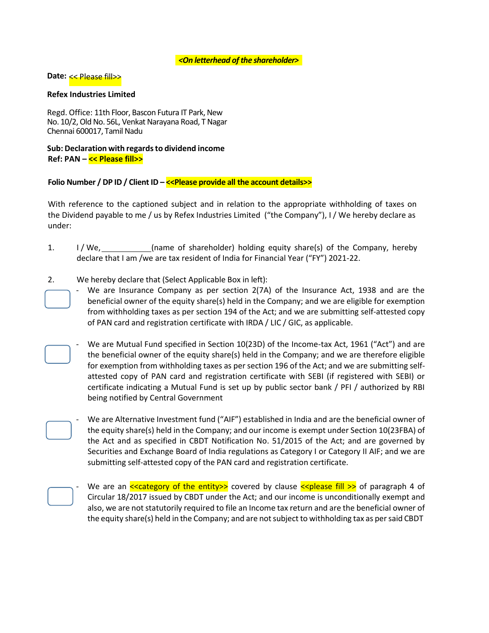## *<On letterhead of the shareholder>*

# **Date:** << Please fill>>

## **Refex Industries Limited**

Regd. Office: 11th Floor, Bascon Futura IT Park, New No. 10/2, Old No. 56L, Venkat Narayana Road, T Nagar Chennai 600017, Tamil Nadu

# **Sub: Declaration with regardsto dividend income Ref: PAN – << Please fill>>**

**Folio Number / DP ID / Client ID – <<Please provide all the account details>>**

With reference to the captioned subject and in relation to the appropriate withholding of taxes on the Dividend payable to me / us by Refex Industries Limited ("the Company"), I / We hereby declare as under:

- 1. I / We, (name of shareholder) holding equity share(s) of the Company, hereby declare that I am /we are tax resident of India for Financial Year ("FY") 2021-22.
- 2. We hereby declare that (Select Applicable Box in left):
	- We are Insurance Company as per section 2(7A) of the Insurance Act, 1938 and are the beneficial owner of the equity share(s) held in the Company; and we are eligible for exemption from withholding taxes as per section 194 of the Act; and we are submitting self-attested copy of PAN card and registration certificate with IRDA / LIC / GIC, as applicable.
	- We are Mutual Fund specified in Section 10(23D) of the Income-tax Act, 1961 ("Act") and are the beneficial owner of the equity share(s) held in the Company; and we are therefore eligible for exemption from withholding taxes as per section 196 of the Act; and we are submitting selfattested copy of PAN card and registration certificate with SEBI (if registered with SEBI) or certificate indicating a Mutual Fund is set up by public sector bank / PFI / authorized by RBI being notified by Central Government
		- We are Alternative Investment fund ("AIF") established in India and are the beneficial owner of the equity share(s) held in the Company; and our income is exempt under Section 10(23FBA) of the Act and as specified in CBDT Notification No. 51/2015 of the Act; and are governed by Securities and Exchange Board of India regulations as Category I or Category II AIF; and we are submitting self-attested copy of the PAN card and registration certificate.

We are an  $\leq$  category of the entity  $\geq$  covered by clause  $\leq$  please fill  $\geq$  of paragraph 4 of Circular 18/2017 issued by CBDT under the Act; and our income is unconditionally exempt and also, we are not statutorily required to file an Income tax return and are the beneficial owner of the equity share(s) held in the Company; and are notsubject to withholding tax as persaid CBDT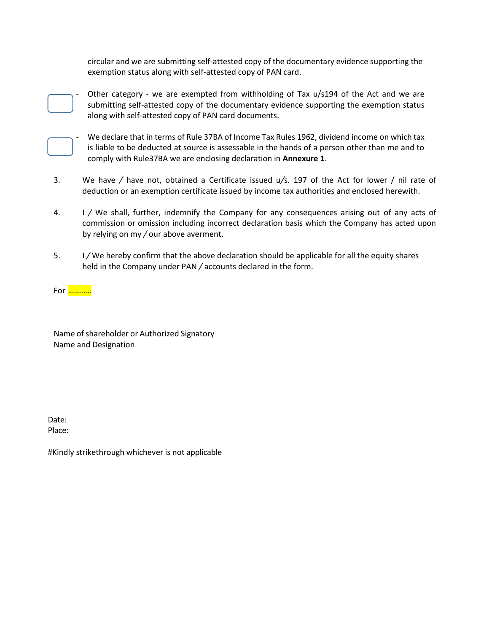circular and we are submitting self-attested copy of the documentary evidence supporting the exemption status along with self-attested copy of PAN card.



Other category - we are exempted from withholding of Tax  $u/s194$  of the Act and we are submitting self-attested copy of the documentary evidence supporting the exemption status along with self-attested copy of PAN card documents.



We declare that in terms of Rule 37BA of Income Tax Rules 1962, dividend income on which tax is liable to be deducted at source is assessable in the hands of a person other than me and to comply with Rule37BA we are enclosing declaration in **Annexure 1**.

- 3. We have */* have not, obtained a Certificate issued u*/*s. 197 of the Act for lower / nil rate of deduction or an exemption certificate issued by income tax authorities and enclosed herewith.
- 4. I */* We shall, further, indemnify the Company for any consequences arising out of any acts of commission or omission including incorrect declaration basis which the Company has acted upon by relying on my */* our above averment.
- 5. I */* We hereby confirm that the above declaration should be applicable for all the equity shares held in the Company under PAN */* accounts declared in the form.

[For](https://www.taxscan.in/disposal-of-vsv-matters-must-be-completed-till-july-15-cbdt-issues-interim-action-plan-for-fy-2021-22/118681/) …………

Name of shareholder or Authorized Signatory [Na](https://www.taxscan.in/disposal-of-vsv-matters-must-be-completed-till-july-15-cbdt-issues-interim-action-plan-for-fy-2021-22/118681/)me and Designation

[Date:](https://www.taxscan.in/disposal-of-vsv-matters-must-be-completed-till-july-15-cbdt-issues-interim-action-plan-for-fy-2021-22/118681/) Place:

#[Kindly](https://www.taxscan.in/disposal-of-vsv-matters-must-be-completed-till-july-15-cbdt-issues-interim-action-plan-for-fy-2021-22/118681/) strikethrough whichever is not applicable